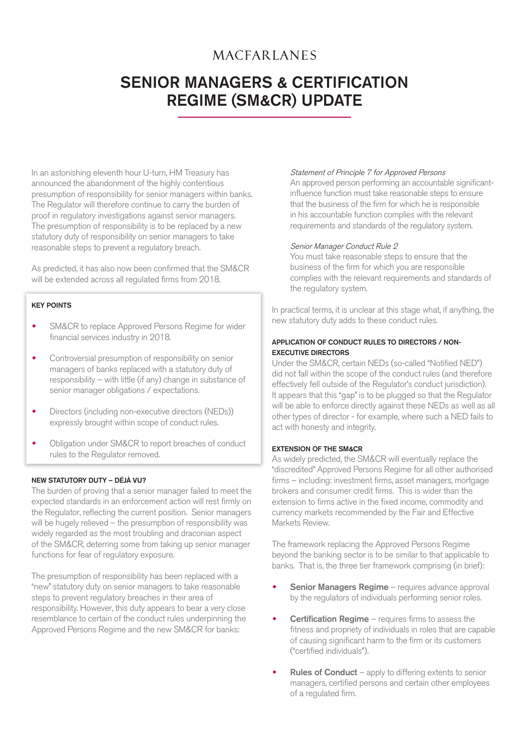## **MACFARLANES**

# SENIOR MANAGERS & CERTIFICATION REGIME (SM&CR) UPDATE

In an astonishing eleventh hour U-turn, HM Treasury has announced the abandonment of the highly contentious presumption of responsibility for senior managers within banks. The Regulator will therefore continue to carry the burden of proof in regulatory investigations against senior managers. The presumption of responsibility is to be replaced by a new statutory duty of responsibility on senior managers to take reasonable steps to prevent a regulatory breach.

As predicted, it has also now been confirmed that the SM&CR will be extended across all regulated firms from 2018.

## KEY POINTS

- SM&CR to replace Approved Persons Regime for wider financial services industry in 2018.
- Controversial presumption of responsibility on senior managers of banks replaced with a statutory duty of responsibility – with little (if any) change in substance of senior manager obligations / expectations.
- Directors (including non-executive directors (NEDs)) expressly brought within scope of conduct rules.
- Obligation under SM&CR to report breaches of conduct rules to the Regulator removed.

## NEW STATUTORY DUTY – DÉJÀ VU?

The burden of proving that a senior manager failed to meet the expected standards in an enforcement action will rest firmly on the Regulator, reflecting the current position. Senior managers will be hugely relieved – the presumption of responsibility was widely regarded as the most troubling and draconian aspect of the SM&CR, deterring some from taking up senior manager functions for fear of regulatory exposure.

The presumption of responsibility has been replaced with a "new" statutory duty on senior managers to take reasonable steps to prevent regulatory breaches in their area of responsibility. However, this duty appears to bear a very close resemblance to certain of the conduct rules underpinning the Approved Persons Regime and the new SM&CR for banks:

### Statement of Principle 7 for Approved Persons

 An approved person performing an accountable significantinfluence function must take reasonable steps to ensure that the business of the firm for which he is responsible in his accountable function complies with the relevant requirements and standards of the regulatory system.

#### Senior Manager Conduct Rule 2

 You must take reasonable steps to ensure that the business of the firm for which you are responsible complies with the relevant requirements and standards of the regulatory system.

In practical terms, it is unclear at this stage what, if anything, the new statutory duty adds to these conduct rules.

## APPLICATION OF CONDUCT RULES TO DIRECTORS / NON-EXECUTIVE DIRECTORS

Under the SM&CR, certain NEDs (so-called "Notified NED") did not fall within the scope of the conduct rules (and therefore effectively fell outside of the Regulator's conduct jurisdiction). It appears that this "gap" is to be plugged so that the Regulator will be able to enforce directly against these NEDs as well as all other types of director - for example, where such a NED fails to act with honesty and integrity.

### EXTENSION OF THE SM&CR

As widely predicted, the SM&CR will eventually replace the "discredited" Approved Persons Regime for all other authorised firms – including: investment firms, asset managers, mortgage brokers and consumer credit firms. This is wider than the extension to firms active in the fixed income, commodity and currency markets recommended by the Fair and Effective Markets Review.

The framework replacing the Approved Persons Regime beyond the banking sector is to be similar to that applicable to banks. That is, the three tier framework comprising (in brief):

- Senior Managers Regime requires advance approval by the regulators of individuals performing senior roles.
- **Certification Regime** requires firms to assess the fitness and propriety of individuals in roles that are capable of causing significant harm to the firm or its customers ("certified individuals").
- Rules of Conduct apply to differing extents to senior managers, certified persons and certain other employees of a regulated firm.